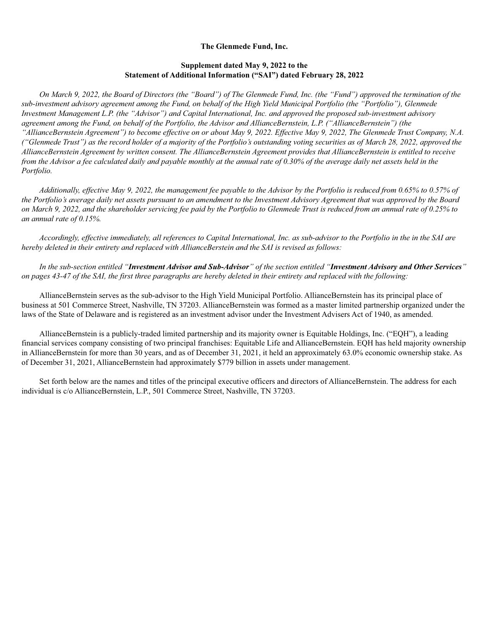## **The Glenmede Fund, Inc.**

## **Supplement dated May 9, 2022 to the Statement of Additional Information ("SAI") dated February 28, 2022**

*On March 9, 2022, the Board of Directors (the "Board") of The Glenmede Fund, Inc. (the "Fund") approved the termination of the sub-investment advisory agreement among the Fund, on behalf of the High Yield Municipal Portfolio (the "Portfolio"), Glenmede Investment Management L.P. (the "Advisor") and Capital International, Inc. and approved the proposed sub-investment advisory agreement among the Fund, on behalf of the Portfolio, the Advisor and AllianceBernstein, L.P. ("AllianceBernstein") (the "AllianceBernstein Agreement") to become effective on or about May 9, 2022. Effective May 9, 2022, The Glenmede Trust Company, N.A. ("Glenmede Trust") as the record holder of a majority of the Portfolio's outstanding voting securities as of March 28, 2022, approved the AllianceBernstein Agreement by written consent. The AllianceBernstein Agreement provides that AllianceBernstein is entitled to receive from the Advisor a fee calculated daily and payable monthly at the annual rate of 0.30% of the average daily net assets held in the Portfolio.*

*Additionally, effective May 9, 2022, the management fee payable to the Advisor by the Portfolio is reduced from 0.65% to 0.57% of the Portfolio's average daily net assets pursuant to an amendment to the Investment Advisory Agreement that was approved by the Board on March 9, 2022, and the shareholder servicing fee paid by the Portfolio to Glenmede Trust is reduced from an annual rate of 0.25% to an annual rate of 0.15%.*

*Accordingly, effective immediately, all references to Capital International, Inc. as sub-advisor to the Portfolio in the in the SAI are hereby deleted in their entirety and replaced with AllianceBerstein and the SAI is revised as follows:*

*In the sub-section entitled "Investment Advisor and Sub-Advisor" of the section entitled "Investment Advisory and Other Services" on pages 43-47 of the SAI, the first three paragraphs are hereby deleted in their entirety and replaced with the following:*

AllianceBernstein serves as the sub-advisor to the High Yield Municipal Portfolio. AllianceBernstein has its principal place of business at 501 Commerce Street, Nashville, TN 37203. AllianceBernstein was formed as a master limited partnership organized under the laws of the State of Delaware and is registered as an investment advisor under the Investment Advisers Act of 1940, as amended.

AllianceBernstein is a publicly-traded limited partnership and its majority owner is Equitable Holdings, Inc. ("EQH"), a leading financial services company consisting of two principal franchises: Equitable Life and AllianceBernstein. EQH has held majority ownership in AllianceBernstein for more than 30 years, and as of December 31, 2021, it held an approximately 63.0% economic ownership stake. As of December 31, 2021, AllianceBernstein had approximately \$779 billion in assets under management.

Set forth below are the names and titles of the principal executive officers and directors of AllianceBernstein. The address for each individual is c/o AllianceBernstein, L.P., 501 Commerce Street, Nashville, TN 37203.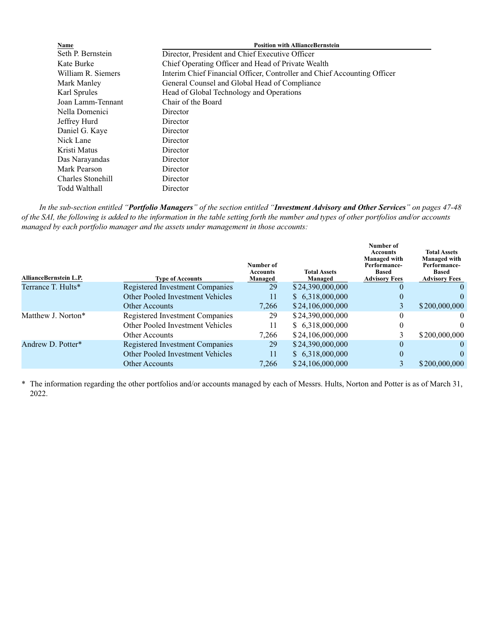| <b>Position with AllianceBernstein</b>                                   |  |  |
|--------------------------------------------------------------------------|--|--|
| Director, President and Chief Executive Officer                          |  |  |
| Chief Operating Officer and Head of Private Wealth                       |  |  |
| Interim Chief Financial Officer, Controller and Chief Accounting Officer |  |  |
| General Counsel and Global Head of Compliance                            |  |  |
| Head of Global Technology and Operations                                 |  |  |
|                                                                          |  |  |
|                                                                          |  |  |
|                                                                          |  |  |
|                                                                          |  |  |
|                                                                          |  |  |
|                                                                          |  |  |
|                                                                          |  |  |
|                                                                          |  |  |
|                                                                          |  |  |
|                                                                          |  |  |
|                                                                          |  |  |

*In the sub-section entitled "Portfolio Managers" of the section entitled "Investment Advisory and Other Services" on pages 47-48 of the SAI, the following is added to the information in the table setting forth the number and types of other portfolios and/or accounts managed by each portfolio manager and the assets under management in those accounts:*

| <b>AllianceBernstein L.P.</b> | <b>Type of Accounts</b>          | Number of<br>Accounts<br>Managed | <b>Total Assets</b><br>Managed | Number of<br>Accounts<br><b>Managed with</b><br>Performance-<br><b>Based</b><br><b>Advisory Fees</b> | <b>Total Assets</b><br><b>Managed with</b><br>Performance-<br><b>Based</b><br><b>Advisory Fees</b> |
|-------------------------------|----------------------------------|----------------------------------|--------------------------------|------------------------------------------------------------------------------------------------------|----------------------------------------------------------------------------------------------------|
| Terrance T. Hults*            | Registered Investment Companies  | 29                               | \$24,390,000,000               | $\theta$                                                                                             | $\theta$                                                                                           |
|                               | Other Pooled Investment Vehicles | 11                               | \$6,318,000,000                | $\theta$                                                                                             | 0                                                                                                  |
|                               | Other Accounts                   | 7.266                            | \$24,106,000,000               |                                                                                                      | \$200,000,000                                                                                      |
| Matthew J. Norton*            | Registered Investment Companies  | 29                               | \$24,390,000,000               | 0                                                                                                    | $^{(1)}$                                                                                           |
|                               | Other Pooled Investment Vehicles | 11                               | \$6,318,000,000                | $\theta$                                                                                             | $\Omega$                                                                                           |
|                               | Other Accounts                   | 7.266                            | \$24,106,000,000               |                                                                                                      | \$200,000,000                                                                                      |
| Andrew D. Potter*             | Registered Investment Companies  | 29                               | \$24,390,000,000               | $\theta$                                                                                             | $\theta$                                                                                           |
|                               | Other Pooled Investment Vehicles | 11                               | \$6,318,000,000                | $\theta$                                                                                             | 0                                                                                                  |
|                               | <b>Other Accounts</b>            | 7.266                            | \$24,106,000,000               |                                                                                                      | \$200,000,000                                                                                      |
|                               |                                  |                                  |                                |                                                                                                      |                                                                                                    |

\* The information regarding the other portfolios and/or accounts managed by each of Messrs. Hults, Norton and Potter is as of March 31, 2022.